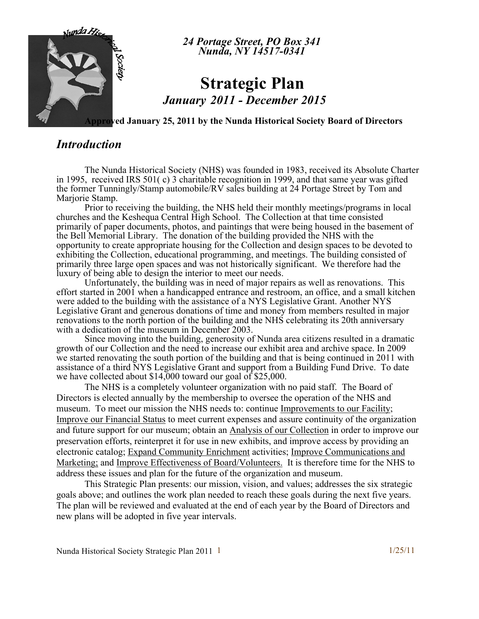

*24 Portage Street, PO Box 341 Nunda, NY 14517-0341* 

# **Strategic Plan** *January 2011 - December 2015*

**Approved January 25, 2011 by the Nunda Historical Society Board of Directors**

### *Introduction*

The Nunda Historical Society (NHS) was founded in 1983, received its Absolute Charter in 1995, received IRS 501( c) 3 charitable recognition in 1999, and that same year was gifted the former Tunningly/Stamp automobile/RV sales building at 24 Portage Street by Tom and Marjorie Stamp.

Prior to receiving the building, the NHS held their monthly meetings/programs in local churches and the Keshequa Central High School. The Collection at that time consisted primarily of paper documents, photos, and paintings that were being housed in the basement of the Bell Memorial Library. The donation of the building provided the NHS with the opportunity to create appropriate housing for the Collection and design spaces to be devoted to exhibiting the Collection, educational programming, and meetings. The building consisted of primarily three large open spaces and was not historically significant. We therefore had the luxury of being able to design the interior to meet our needs.

Unfortunately, the building was in need of major repairs as well as renovations. This effort started in 2001 when a handicapped entrance and restroom, an office, and a small kitchen were added to the building with the assistance of a NYS Legislative Grant. Another NYS Legislative Grant and generous donations of time and money from members resulted in major renovations to the north portion of the building and the NHS celebrating its 20th anniversary with a dedication of the museum in December 2003.

Since moving into the building, generosity of Nunda area citizens resulted in a dramatic growth of our Collection and the need to increase our exhibit area and archive space. In 2009 we started renovating the south portion of the building and that is being continued in 2011 with assistance of a third NYS Legislative Grant and support from a Building Fund Drive. To date we have collected about \$14,000 toward our goal of \$25,000.

The NHS is a completely volunteer organization with no paid staff. The Board of Directors is elected annually by the membership to oversee the operation of the NHS and museum. To meet our mission the NHS needs to: continue Improvements to our Facility; Improve our Financial Status to meet current expenses and assure continuity of the organization and future support for our museum; obtain an Analysis of our Collection in order to improve our preservation efforts, reinterpret it for use in new exhibits, and improve access by providing an electronic catalog; Expand Community Enrichment activities; Improve Communications and Marketing; and Improve Effectiveness of Board/Volunteers. It is therefore time for the NHS to address these issues and plan for the future of the organization and museum.

This Strategic Plan presents: our mission, vision, and values; addresses the six strategic goals above; and outlines the work plan needed to reach these goals during the next five years. The plan will be reviewed and evaluated at the end of each year by the Board of Directors and new plans will be adopted in five year intervals.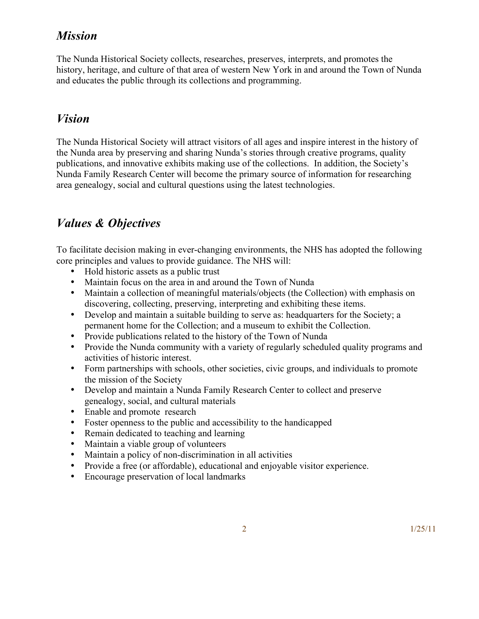# *Mission*

The Nunda Historical Society collects, researches, preserves, interprets, and promotes the history, heritage, and culture of that area of western New York in and around the Town of Nunda and educates the public through its collections and programming.

### *Vision*

The Nunda Historical Society will attract visitors of all ages and inspire interest in the history of the Nunda area by preserving and sharing Nunda's stories through creative programs, quality publications, and innovative exhibits making use of the collections. In addition, the Society's Nunda Family Research Center will become the primary source of information for researching area genealogy, social and cultural questions using the latest technologies.

# *Values & Objectives*

To facilitate decision making in ever-changing environments, the NHS has adopted the following core principles and values to provide guidance. The NHS will:

- Hold historic assets as a public trust
- Maintain focus on the area in and around the Town of Nunda
- Maintain a collection of meaningful materials/objects (the Collection) with emphasis on discovering, collecting, preserving, interpreting and exhibiting these items.
- Develop and maintain a suitable building to serve as: headquarters for the Society; a permanent home for the Collection; and a museum to exhibit the Collection.
- Provide publications related to the history of the Town of Nunda
- Provide the Nunda community with a variety of regularly scheduled quality programs and activities of historic interest.
- Form partnerships with schools, other societies, civic groups, and individuals to promote the mission of the Society
- Develop and maintain a Nunda Family Research Center to collect and preserve genealogy, social, and cultural materials
- Enable and promote research
- Foster openness to the public and accessibility to the handicapped
- Remain dedicated to teaching and learning
- Maintain a viable group of volunteers
- Maintain a policy of non-discrimination in all activities
- Provide a free (or affordable), educational and enjoyable visitor experience.
- Encourage preservation of local landmarks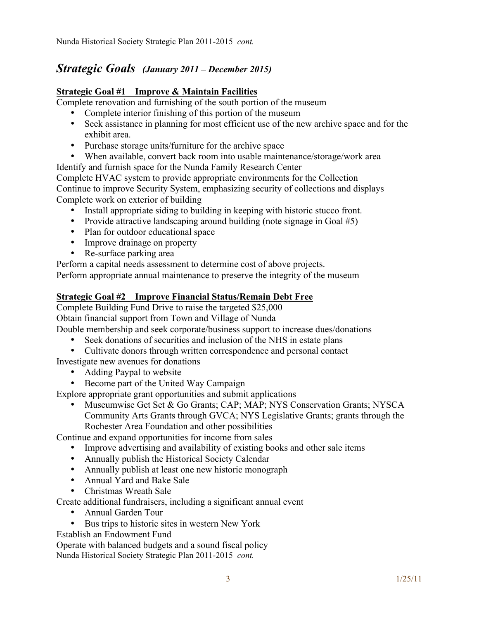### *Strategic Goals (January 2011 – December 2015)*

#### **Strategic Goal #1 Improve & Maintain Facilities**

Complete renovation and furnishing of the south portion of the museum

- Complete interior finishing of this portion of the museum
- Seek assistance in planning for most efficient use of the new archive space and for the exhibit area.
- Purchase storage units/furniture for the archive space
- When available, convert back room into usable maintenance/storage/work area

Identify and furnish space for the Nunda Family Research Center

Complete HVAC system to provide appropriate environments for the Collection Continue to improve Security System, emphasizing security of collections and displays Complete work on exterior of building

- Install appropriate siding to building in keeping with historic stucco front.
- Provide attractive landscaping around building (note signage in Goal #5)
- Plan for outdoor educational space
- Improve drainage on property
- Re-surface parking area

Perform a capital needs assessment to determine cost of above projects.

Perform appropriate annual maintenance to preserve the integrity of the museum

#### **Strategic Goal #2 Improve Financial Status/Remain Debt Free**

Complete Building Fund Drive to raise the targeted \$25,000

Obtain financial support from Town and Village of Nunda

Double membership and seek corporate/business support to increase dues/donations

- Seek donations of securities and inclusion of the NHS in estate plans
- Cultivate donors through written correspondence and personal contact

Investigate new avenues for donations

- Adding Paypal to website
- Become part of the United Way Campaign

Explore appropriate grant opportunities and submit applications

• Museumwise Get Set & Go Grants; CAP; MAP; NYS Conservation Grants; NYSCA Community Arts Grants through GVCA; NYS Legislative Grants; grants through the Rochester Area Foundation and other possibilities

Continue and expand opportunities for income from sales

- Improve advertising and availability of existing books and other sale items
- Annually publish the Historical Society Calendar
- Annually publish at least one new historic monograph
- Annual Yard and Bake Sale
- Christmas Wreath Sale

Create additional fundraisers, including a significant annual event

- Annual Garden Tour
- Bus trips to historic sites in western New York

Establish an Endowment Fund

Operate with balanced budgets and a sound fiscal policy Nunda Historical Society Strategic Plan 2011-2015 *cont.*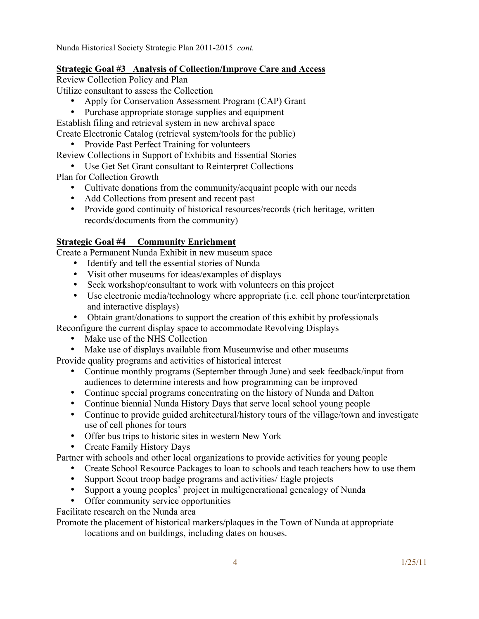Nunda Historical Society Strategic Plan 2011-2015 *cont.*

#### **Strategic Goal #3 Analysis of Collection/Improve Care and Access**

Review Collection Policy and Plan Utilize consultant to assess the Collection

• Apply for Conservation Assessment Program (CAP) Grant

• Purchase appropriate storage supplies and equipment

Establish filing and retrieval system in new archival space Create Electronic Catalog (retrieval system/tools for the public)

• Provide Past Perfect Training for volunteers

Review Collections in Support of Exhibits and Essential Stories

- Use Get Set Grant consultant to Reinterpret Collections
- Plan for Collection Growth
	- Cultivate donations from the community/acquaint people with our needs
	- Add Collections from present and recent past
	- Provide good continuity of historical resources/records (rich heritage, written records/documents from the community)

#### **Strategic Goal #4 Community Enrichment**

Create a Permanent Nunda Exhibit in new museum space

- Identify and tell the essential stories of Nunda
- Visit other museums for ideas/examples of displays
- Seek workshop/consultant to work with volunteers on this project
- Use electronic media/technology where appropriate (i.e. cell phone tour/interpretation and interactive displays)
- Obtain grant/donations to support the creation of this exhibit by professionals

Reconfigure the current display space to accommodate Revolving Displays

- Make use of the NHS Collection
- Make use of displays available from Museumwise and other museums

Provide quality programs and activities of historical interest

- Continue monthly programs (September through June) and seek feedback/input from audiences to determine interests and how programming can be improved
- Continue special programs concentrating on the history of Nunda and Dalton
- Continue biennial Nunda History Days that serve local school young people
- Continue to provide guided architectural/history tours of the village/town and investigate use of cell phones for tours
- Offer bus trips to historic sites in western New York
- Create Family History Days

Partner with schools and other local organizations to provide activities for young people

- Create School Resource Packages to loan to schools and teach teachers how to use them
- Support Scout troop badge programs and activities/ Eagle projects
- Support a young peoples' project in multigenerational genealogy of Nunda
- Offer community service opportunities

Facilitate research on the Nunda area

Promote the placement of historical markers/plaques in the Town of Nunda at appropriate

locations and on buildings, including dates on houses.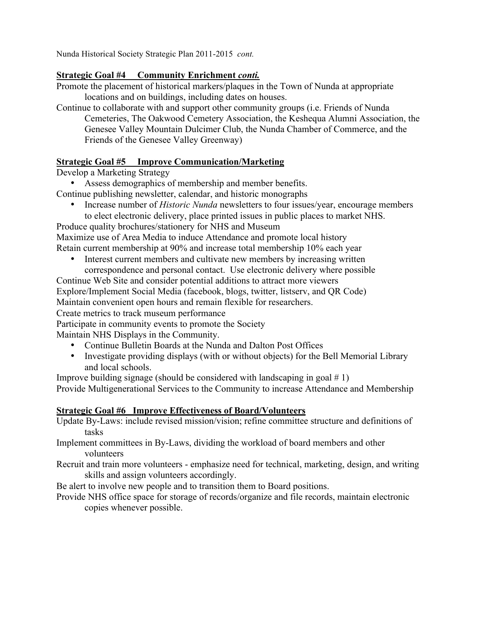Nunda Historical Society Strategic Plan 2011-2015 *cont.*

#### **Strategic Goal #4 Community Enrichment** *conti.*

Promote the placement of historical markers/plaques in the Town of Nunda at appropriate locations and on buildings, including dates on houses.

Continue to collaborate with and support other community groups (i.e. Friends of Nunda Cemeteries, The Oakwood Cemetery Association, the Keshequa Alumni Association, the Genesee Valley Mountain Dulcimer Club, the Nunda Chamber of Commerce, and the Friends of the Genesee Valley Greenway)

#### **Strategic Goal #5 Improve Communication/Marketing**

Develop a Marketing Strategy

• Assess demographics of membership and member benefits.

Continue publishing newsletter, calendar, and historic monographs

• Increase number of *Historic Nunda* newsletters to four issues/year, encourage members to elect electronic delivery, place printed issues in public places to market NHS.

Produce quality brochures/stationery for NHS and Museum

Maximize use of Area Media to induce Attendance and promote local history Retain current membership at 90% and increase total membership 10% each year

Interest current members and cultivate new members by increasing written correspondence and personal contact. Use electronic delivery where possible

Continue Web Site and consider potential additions to attract more viewers

Explore/Implement Social Media (facebook, blogs, twitter, listserv, and QR Code)

Maintain convenient open hours and remain flexible for researchers.

Create metrics to track museum performance

Participate in community events to promote the Society

Maintain NHS Displays in the Community.

- Continue Bulletin Boards at the Nunda and Dalton Post Offices
- Investigate providing displays (with or without objects) for the Bell Memorial Library and local schools.

Improve building signage (should be considered with landscaping in goal  $# 1$ )

Provide Multigenerational Services to the Community to increase Attendance and Membership

#### **Strategic Goal #6 Improve Effectiveness of Board/Volunteers**

Update By-Laws: include revised mission/vision; refine committee structure and definitions of tasks

Implement committees in By-Laws, dividing the workload of board members and other volunteers

Recruit and train more volunteers - emphasize need for technical, marketing, design, and writing skills and assign volunteers accordingly.

Be alert to involve new people and to transition them to Board positions.

Provide NHS office space for storage of records/organize and file records, maintain electronic copies whenever possible.